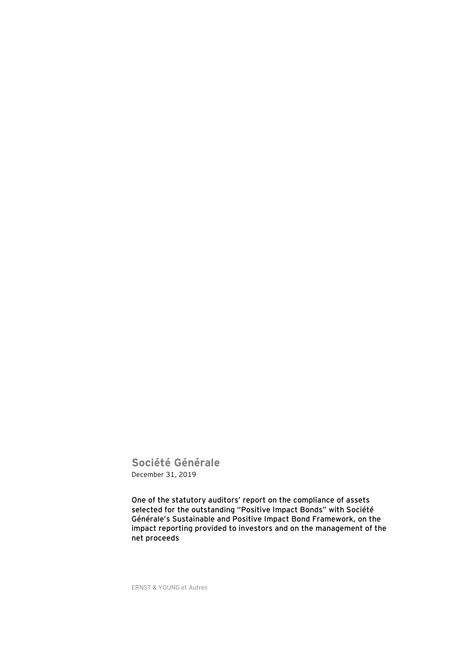**Société Générale** December 31, 2019

**One of the statutory auditors' report on the compliance of assets selected for the outstanding "Positive Impact Bonds" with Société Générale's Sustainable and Positive Impact Bond Framework, on the impact reporting provided to investors and on the management of the net proceeds**

ERNST & YOUNG et Autres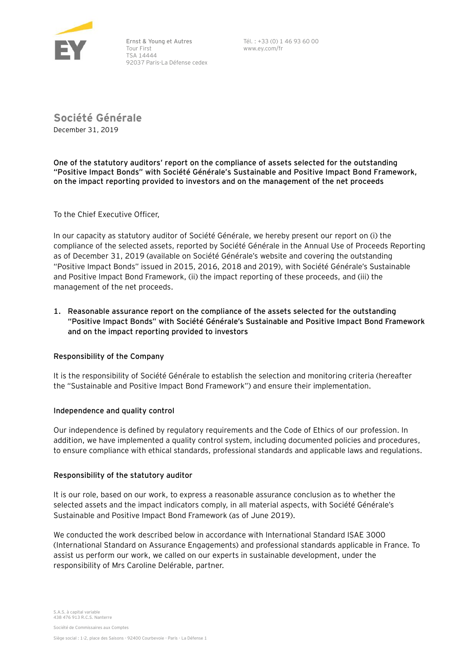

Ernst & Young et Autres Tour First TSA 14444 92037 Paris-La Défense cedex Tél. : +33 (0) 1 46 93 60 00 www.ey.com/fr

**Société Générale** December 31, 2019

**One of the statutory auditors' report on the compliance of assets selected for the outstanding "Positive Impact Bonds" with Société Générale's Sustainable and Positive Impact Bond Framework, on the impact reporting provided to investors and on the management of the net proceeds**

To the Chief Executive Officer,

In our capacity as statutory auditor of Société Générale, we hereby present our report on (i) the compliance of the selected assets, reported by Société Générale in the Annual Use of Proceeds Reporting as of December 31, 2019 (available on Société Générale's website and covering the outstanding "Positive Impact Bonds" issued in 2015, 2016, 2018 and 2019), with Société Générale's Sustainable and Positive Impact Bond Framework, (ii) the impact reporting of these proceeds, and (iii) the management of the net proceeds.

# **1. Reasonable assurance report on the compliance of the assets selected for the outstanding "Positive Impact Bonds" with Société Générale's Sustainable and Positive Impact Bond Framework and on the impact reporting provided to investors**

## **Responsibility of the Company**

It is the responsibility of Société Générale to establish the selection and monitoring criteria (hereafter the "Sustainable and Positive Impact Bond Framework") and ensure their implementation.

## **Independence and quality control**

Our independence is defined by regulatory requirements and the Code of Ethics of our profession. In addition, we have implemented a quality control system, including documented policies and procedures, to ensure compliance with ethical standards, professional standards and applicable laws and regulations.

## **Responsibility of the statutory auditor**

It is our role, based on our work, to express a reasonable assurance conclusion as to whether the selected assets and the impact indicators comply, in all material aspects, with Société Générale's Sustainable and Positive Impact Bond Framework (as of June 2019).

We conducted the work described below in accordance with International Standard ISAE 3000 (International Standard on Assurance Engagements) and professional standards applicable in France. To assist us perform our work, we called on our experts in sustainable development, under the responsibility of Mrs Caroline Delérable, partner.

Société de Commissaires aux Comptes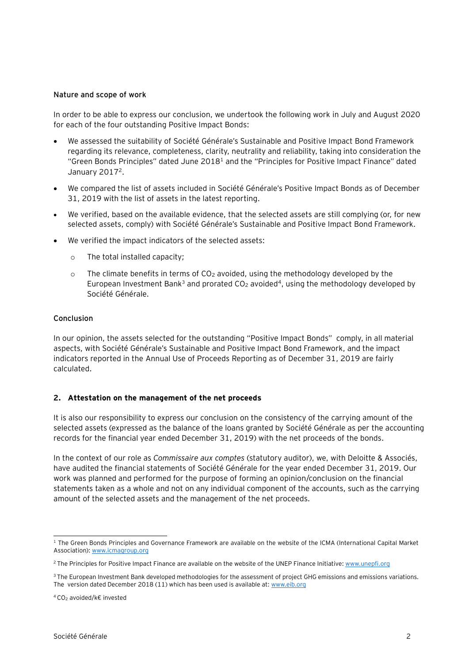### **Nature and scope of work**

In order to be able to express our conclusion, we undertook the following work in July and August 2020 for each of the four outstanding Positive Impact Bonds:

- We assessed the suitability of Société Générale's Sustainable and Positive Impact Bond Framework regarding its relevance, completeness, clarity, neutrality and reliability, taking into consideration the "Green Bonds Principles" dated June 2018<sup>1</sup> and the "Principles for Positive Impact Finance" dated January 2017<sup>2</sup>.
- We compared the list of assets included in Société Générale's Positive Impact Bonds as of December 31, 2019 with the list of assets in the latest reporting.
- We verified, based on the available evidence, that the selected assets are still complying (or, for new selected assets, comply) with Société Générale's Sustainable and Positive Impact Bond Framework.
- We verified the impact indicators of the selected assets:
	- o The total installed capacity;
	- $\circ$  The climate benefits in terms of CO<sub>2</sub> avoided, using the methodology developed by the European Investment Bank<sup>3</sup> and prorated  $CO<sub>2</sub>$  avoided<sup>4</sup>, using the methodology developed by Société Générale.

### **Conclusion**

In our opinion, the assets selected for the outstanding "Positive Impact Bonds" comply, in all material aspects, with Société Générale's Sustainable and Positive Impact Bond Framework, and the impact indicators reported in the Annual Use of Proceeds Reporting as of December 31, 2019 are fairly calculated.

## **2. Attestation on the management of the net proceeds**

It is also our responsibility to express our conclusion on the consistency of the carrying amount of the selected assets (expressed as the balance of the loans granted by Société Générale as per the accounting records for the financial year ended December 31, 2019) with the net proceeds of the bonds.

In the context of our role as *Commissaire aux comptes* (statutory auditor), we, with Deloitte & Associés, have audited the financial statements of Société Générale for the year ended December 31, 2019. Our work was planned and performed for the purpose of forming an opinion/conclusion on the financial statements taken as a whole and not on any individual component of the accounts, such as the carrying amount of the selected assets and the management of the net proceeds.

<sup>&</sup>lt;sup>1</sup> The Green Bonds Principles and Governance Framework are available on the website of the ICMA (International Capital Market Association): [www.icmagroup.org](http://www.icmagroup.org/)

<sup>&</sup>lt;sup>2</sup> The Principles for Positive Impact Finance are available on the website of the UNEP Finance Initiative: [www.unepfi.org](http://www.unepfi.org/)

<sup>&</sup>lt;sup>3</sup> The European Investment Bank developed methodologies for the assessment of project GHG emissions and emissions variations. The version dated December 2018 (11) which has been used is available at: [www.eib.org](http://www.eib.org/attachments/strategies/eib_project_carbon_footprint_methodologies_en.pdf)

<sup>4</sup> CO<sup>2</sup> avoided/k€ invested